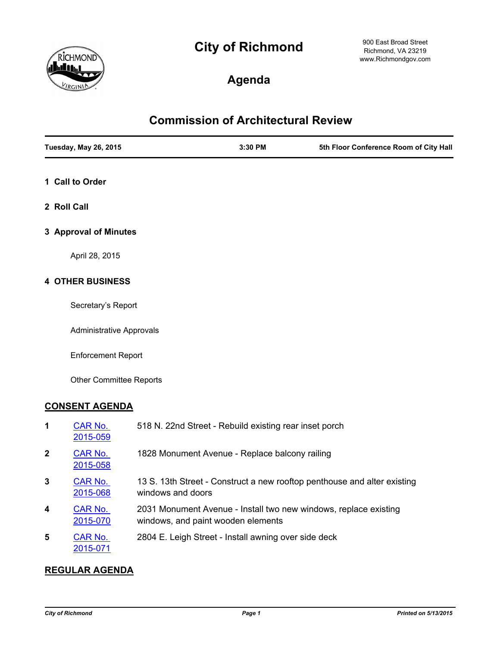# **City of Richmond**



900 East Broad Street Richmond, VA 23219 www.Richmondgov.com

# **Agenda**

## **Commission of Architectural Review**

| <b>Tuesday, May 26, 2015</b> | $3:30$ PM | 5th Floor Conference Room of City Hall |
|------------------------------|-----------|----------------------------------------|
|                              |           |                                        |

- **1 Call to Order**
- **2 Roll Call**
- **3 Approval of Minutes**

April 28, 2015

#### **4 OTHER BUSINESS**

Secretary's Report

Administrative Approvals

Enforcement Report

Other Committee Reports

#### **CONSENT AGENDA**

| 1 | CAR No.<br>2015-059        | 518 N. 22nd Street - Rebuild existing rear inset porch                                                 |
|---|----------------------------|--------------------------------------------------------------------------------------------------------|
| 2 | CAR No.<br>2015-058        | 1828 Monument Avenue - Replace balcony railing                                                         |
| 3 | CAR No.<br>2015-068        | 13 S. 13th Street - Construct a new rooftop penthouse and alter existing<br>windows and doors          |
| 4 | <b>CAR No.</b><br>2015-070 | 2031 Monument Avenue - Install two new windows, replace existing<br>windows, and paint wooden elements |
| 5 | CAR No.<br>2015-071        | 2804 E. Leigh Street - Install awning over side deck                                                   |

#### **REGULAR AGENDA**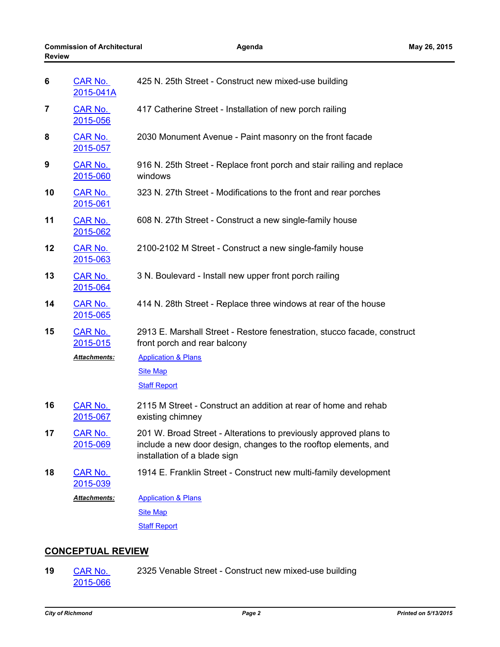| 6  | <b>CAR No.</b><br>2015-041A | 425 N. 25th Street - Construct new mixed-use building                                                                                                                |
|----|-----------------------------|----------------------------------------------------------------------------------------------------------------------------------------------------------------------|
| 7  | <b>CAR No.</b><br>2015-056  | 417 Catherine Street - Installation of new porch railing                                                                                                             |
| 8  | <b>CAR No.</b><br>2015-057  | 2030 Monument Avenue - Paint masonry on the front facade                                                                                                             |
| 9  | <b>CAR No.</b><br>2015-060  | 916 N. 25th Street - Replace front porch and stair railing and replace<br>windows                                                                                    |
| 10 | <b>CAR No.</b><br>2015-061  | 323 N. 27th Street - Modifications to the front and rear porches                                                                                                     |
| 11 | <b>CAR No.</b><br>2015-062  | 608 N. 27th Street - Construct a new single-family house                                                                                                             |
| 12 | CAR No.<br>2015-063         | 2100-2102 M Street - Construct a new single-family house                                                                                                             |
| 13 | <b>CAR No.</b><br>2015-064  | 3 N. Boulevard - Install new upper front porch railing                                                                                                               |
| 14 | <b>CAR No.</b><br>2015-065  | 414 N. 28th Street - Replace three windows at rear of the house                                                                                                      |
| 15 | <b>CAR No.</b><br>2015-015  | 2913 E. Marshall Street - Restore fenestration, stucco facade, construct<br>front porch and rear balcony                                                             |
|    | Attachments:                | <b>Application &amp; Plans</b>                                                                                                                                       |
|    |                             | <b>Site Map</b>                                                                                                                                                      |
|    |                             | <b>Staff Report</b>                                                                                                                                                  |
| 16 | <b>CAR No.</b><br>2015-067  | 2115 M Street - Construct an addition at rear of home and rehab<br>existing chimney                                                                                  |
| 17 | <b>CAR No.</b><br>2015-069  | 201 W. Broad Street - Alterations to previously approved plans to<br>include a new door design, changes to the rooftop elements, and<br>installation of a blade sign |
| 18 | <b>CAR No.</b><br>2015-039  | 1914 E. Franklin Street - Construct new multi-family development                                                                                                     |
|    | Attachments:                | <b>Application &amp; Plans</b>                                                                                                                                       |
|    |                             | <b>Site Map</b>                                                                                                                                                      |
|    |                             | <b>Staff Report</b>                                                                                                                                                  |
|    |                             |                                                                                                                                                                      |

### **CONCEPTUAL REVIEW**

[CAR No.](http://richmondva.legistar.com/gateway.aspx?m=l&id=/matter.aspx?key=21059) 2325 Venable Street - Construct new mixed-use building 2015-066 **19**